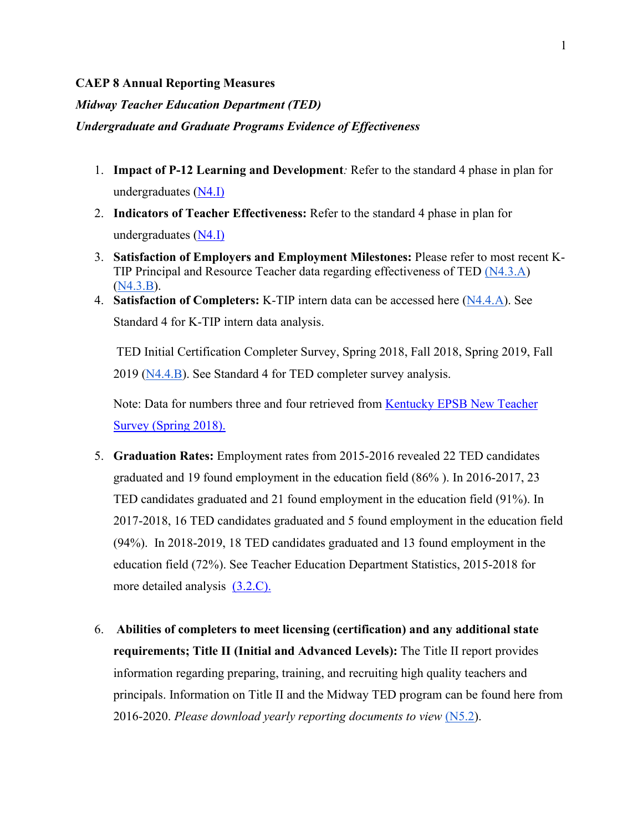## **CAEP 8 Annual Reporting Measures**

*Midway Teacher Education Department (TED)*

## *Undergraduate and Graduate Programs Evidence of Effectiveness*

- 1. **Impact of P-12 Learning and Development***:* Refer to the standard 4 phase in plan for undergraduates [\(N4.I\)](https://docs.google.com/document/d/1InYcQFneek6e1LJZ7ZnDeaVIdD91rOrV/edit)
- 2. **Indicators of Teacher Effectiveness:** Refer to the standard 4 phase in plan for undergraduates [\(N4.I\)](https://docs.google.com/document/d/1InYcQFneek6e1LJZ7ZnDeaVIdD91rOrV/edit)
- 3. **Satisfaction of Employers and Employment Milestones:** Please refer to most recent K-TIP Principal and Resource Teacher data regarding effectiveness of TED [\(N4.3.A\)](https://docs.google.com/document/d/1qT9tGQZHbY2HsKZuujWSTzMf0lRQIdEf/edit) [\(N4.3.B\)](https://docs.google.com/document/d/1LBezzNlLAJeLUKVkFhLKhE1YkNAvNkwj/edit).
- 4. **Satisfaction of Completers:** K-TIP intern data can be accessed here [\(N4.4.A\)](https://docs.google.com/document/d/1ymUFqoRJRyipR0N1w3w6gV5pdioMHRZ4/edit). See Standard 4 for K-TIP intern data analysis.

TED Initial Certification Completer Survey, Spring 2018, Fall 2018, Spring 2019, Fall 2019 [\(N4.4.B\)](https://docs.google.com/spreadsheets/d/13kStKfmPjO6BPUiNuKMv7c_-tciLiwYG/edit#gid=96752176). See Standard 4 for TED completer survey analysis.

Note: Data for numbers three and four retrieved from [Kentucky EPSB New Teacher](https://kystats.ky.gov/Reports/Tableau/NTS_2018)  [Survey \(Spring 2018\).](https://kystats.ky.gov/Reports/Tableau/NTS_2018)

- 5. **Graduation Rates:** Employment rates from 2015-2016 revealed 22 TED candidates graduated and 19 found employment in the education field (86% ). In 2016-2017, 23 TED candidates graduated and 21 found employment in the education field (91%). In 2017-2018, 16 TED candidates graduated and 5 found employment in the education field (94%). In 2018-2019, 18 TED candidates graduated and 13 found employment in the education field (72%). See Teacher Education Department Statistics, 2015-2018 for more detailed analysis [\(3.2.C\).](https://docs.google.com/document/d/1Cc2qrfSThckHhQsZtVKxAp929rVOAN6i/edit)
- 6. **Abilities of completers to meet licensing (certification) and any additional state requirements; Title II (Initial and Advanced Levels):** The Title II report provides information regarding preparing, training, and recruiting high quality teachers and principals. Information on Title II and the Midway TED program can be found here from 2016-2020. *Please download yearly reporting documents to view* [\(N5.2\)](https://drive.google.com/drive/folders/1b641Go3BwlqlySNE9XNW0uC-0zq-eOdT).